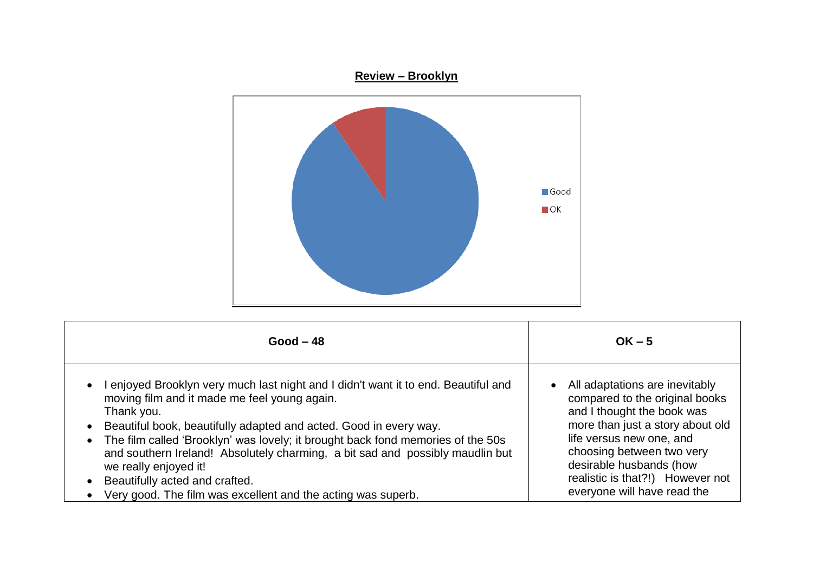



| $Good - 48$                                                                                                                                                                                                                                                                                                                                                                                                                                                                                                                                                 | $OK - 5$                                                                                                                                                                                                                                                                                  |
|-------------------------------------------------------------------------------------------------------------------------------------------------------------------------------------------------------------------------------------------------------------------------------------------------------------------------------------------------------------------------------------------------------------------------------------------------------------------------------------------------------------------------------------------------------------|-------------------------------------------------------------------------------------------------------------------------------------------------------------------------------------------------------------------------------------------------------------------------------------------|
| enjoyed Brooklyn very much last night and I didn't want it to end. Beautiful and<br>$\bullet$<br>moving film and it made me feel young again.<br>Thank you.<br>Beautiful book, beautifully adapted and acted. Good in every way.<br>$\bullet$<br>• The film called 'Brooklyn' was lovely; it brought back fond memories of the 50s<br>and southern Ireland! Absolutely charming, a bit sad and possibly maudlin but<br>we really enjoyed it!<br>Beautifully acted and crafted.<br>Very good. The film was excellent and the acting was superb.<br>$\bullet$ | All adaptations are inevitably<br>compared to the original books<br>and I thought the book was<br>more than just a story about old<br>life versus new one, and<br>choosing between two very<br>desirable husbands (how<br>realistic is that?!) However not<br>everyone will have read the |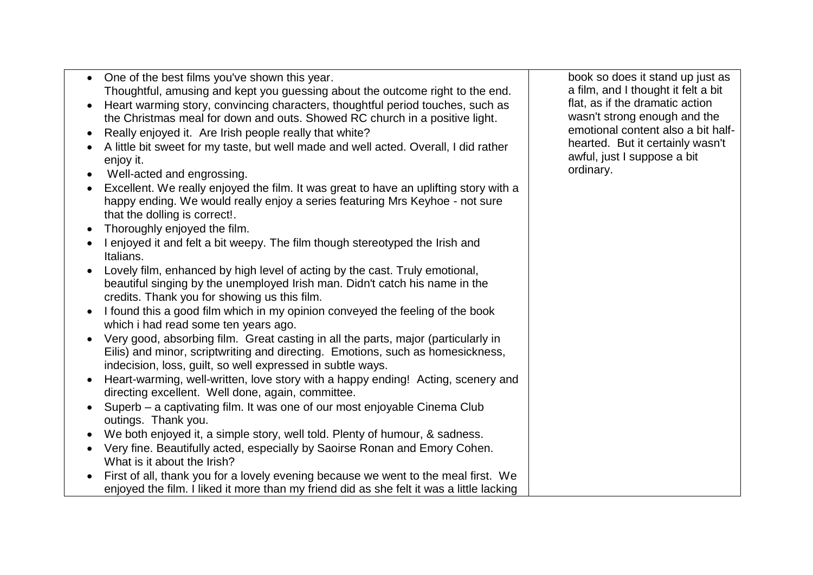| $\bullet$ | One of the best films you've shown this year.                                            | book so does it stand up just as    |
|-----------|------------------------------------------------------------------------------------------|-------------------------------------|
|           | Thoughtful, amusing and kept you guessing about the outcome right to the end.            | a film, and I thought it felt a bit |
|           | Heart warming story, convincing characters, thoughtful period touches, such as           | flat, as if the dramatic action     |
|           | the Christmas meal for down and outs. Showed RC church in a positive light.              | wasn't strong enough and the        |
|           | Really enjoyed it. Are Irish people really that white?                                   | emotional content also a bit half-  |
|           | A little bit sweet for my taste, but well made and well acted. Overall, I did rather     | hearted. But it certainly wasn't    |
|           | enjoy it.                                                                                | awful, just I suppose a bit         |
|           | Well-acted and engrossing.                                                               | ordinary.                           |
|           | Excellent. We really enjoyed the film. It was great to have an uplifting story with a    |                                     |
|           | happy ending. We would really enjoy a series featuring Mrs Keyhoe - not sure             |                                     |
|           | that the dolling is correct!.                                                            |                                     |
|           | Thoroughly enjoyed the film.                                                             |                                     |
|           | I enjoyed it and felt a bit weepy. The film though stereotyped the Irish and             |                                     |
|           | Italians.                                                                                |                                     |
|           | Lovely film, enhanced by high level of acting by the cast. Truly emotional,              |                                     |
|           | beautiful singing by the unemployed Irish man. Didn't catch his name in the              |                                     |
|           | credits. Thank you for showing us this film.                                             |                                     |
|           | I found this a good film which in my opinion conveyed the feeling of the book            |                                     |
|           | which i had read some ten years ago.                                                     |                                     |
|           | Very good, absorbing film. Great casting in all the parts, major (particularly in        |                                     |
|           | Eilis) and minor, scriptwriting and directing. Emotions, such as homesickness,           |                                     |
|           | indecision, loss, guilt, so well expressed in subtle ways.                               |                                     |
|           | Heart-warming, well-written, love story with a happy ending! Acting, scenery and         |                                     |
|           | directing excellent. Well done, again, committee.                                        |                                     |
|           | Superb – a captivating film. It was one of our most enjoyable Cinema Club                |                                     |
|           | outings. Thank you.                                                                      |                                     |
|           | We both enjoyed it, a simple story, well told. Plenty of humour, & sadness.              |                                     |
|           | Very fine. Beautifully acted, especially by Saoirse Ronan and Emory Cohen.               |                                     |
|           | What is it about the Irish?                                                              |                                     |
|           | First of all, thank you for a lovely evening because we went to the meal first. We       |                                     |
|           | enjoyed the film. I liked it more than my friend did as she felt it was a little lacking |                                     |